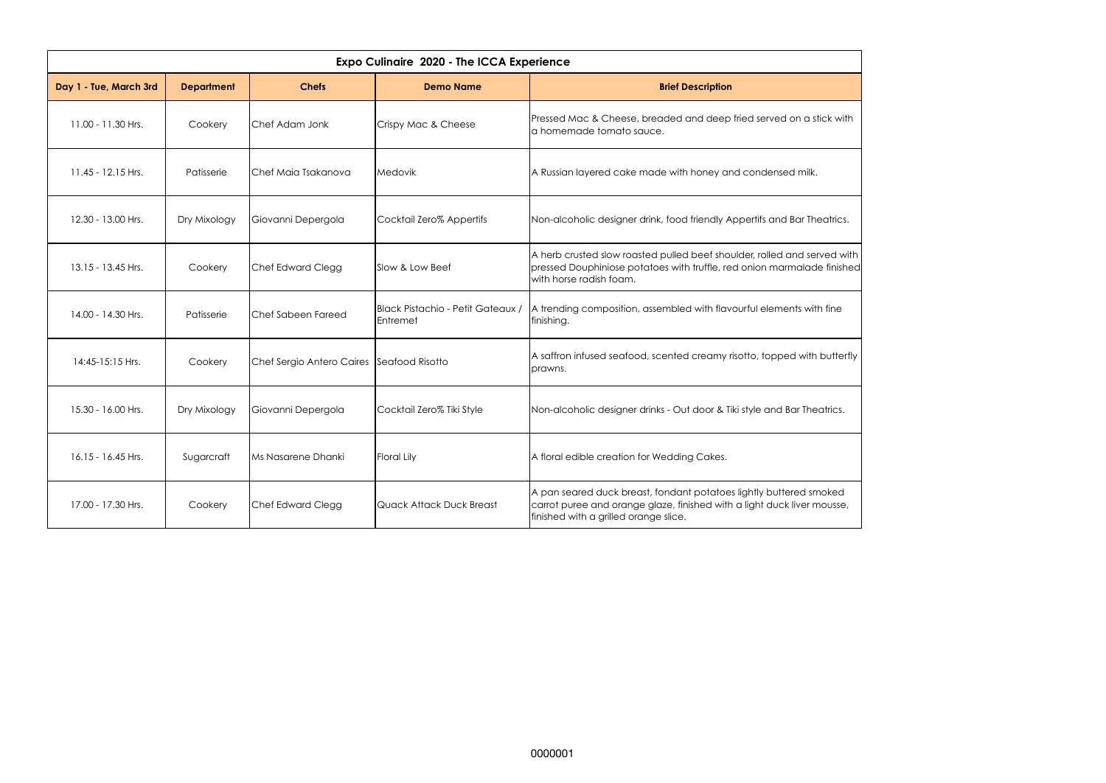

| <b>Expo Culinaire 2020 - The ICCA Experience</b> |                   |                                           |                                               |                                                                                                                                                                                        |  |  |  |  |
|--------------------------------------------------|-------------------|-------------------------------------------|-----------------------------------------------|----------------------------------------------------------------------------------------------------------------------------------------------------------------------------------------|--|--|--|--|
| Day 1 - Tue, March 3rd                           | <b>Department</b> | <b>Chefs</b>                              | <b>Demo Name</b>                              | <b>Brief Description</b>                                                                                                                                                               |  |  |  |  |
| 11.00 - 11.30 Hrs.                               | Cookery           | Chef Adam Jonk                            | Crispy Mac & Cheese                           | Pressed Mac & Cheese, breaded and deep fried served on a stick with<br>a homemade tomato sauce.                                                                                        |  |  |  |  |
| 11.45 - 12.15 Hrs.                               | Patisserie        | Chef Maia Tsakanova                       | Medovik                                       | A Russian layered cake made with honey and condensed milk.                                                                                                                             |  |  |  |  |
| 12.30 - 13.00 Hrs.                               | Dry Mixology      | Giovanni Depergola                        | Cocktail Zero% Appertifs                      | Non-alcoholic designer drink, food friendly Appertifs and Bar Theatrics.                                                                                                               |  |  |  |  |
| 13.15 - 13.45 Hrs.                               | Cookery           | Chef Edward Clegg                         | Slow & Low Beef                               | A herb crusted slow roasted pulled beef shoulder, rolled and served with<br>pressed Douphiniose potatoes with truffle, red onion marmalade finished<br>with horse radish foam.         |  |  |  |  |
| 14.00 - 14.30 Hrs.                               | Patisserie        | Chef Sabeen Fareed                        | Black Pistachio - Petit Gateaux /<br>Entremet | A trending composition, assembled with flavourful elements with fine<br>finishing.                                                                                                     |  |  |  |  |
| 14:45-15:15 Hrs.                                 | Cookery           | Chef Sergio Antero Caires Seafood Risotto |                                               | A saffron infused seafood, scented creamy risotto, topped with butterfly<br>prawns.                                                                                                    |  |  |  |  |
| 15.30 - 16.00 Hrs.                               | Dry Mixology      | Giovanni Depergola                        | Cocktail Zero% Tiki Style                     | Non-alcoholic designer drinks - Out door & Tiki style and Bar Theatrics.                                                                                                               |  |  |  |  |
| $16.15 - 16.45$ Hrs.                             | Sugarcraft        | Ms Nasarene Dhanki                        | Floral Lily                                   | A floral edible creation for Wedding Cakes.                                                                                                                                            |  |  |  |  |
| 17.00 - 17.30 Hrs.                               | Cookery           | <b>Chef Edward Clegg</b>                  | Quack Attack Duck Breast                      | A pan seared duck breast, fondant potatoes lightly buttered smoked<br>carrot puree and orange glaze, finished with a light duck liver mousse,<br>finished with a grilled orange slice. |  |  |  |  |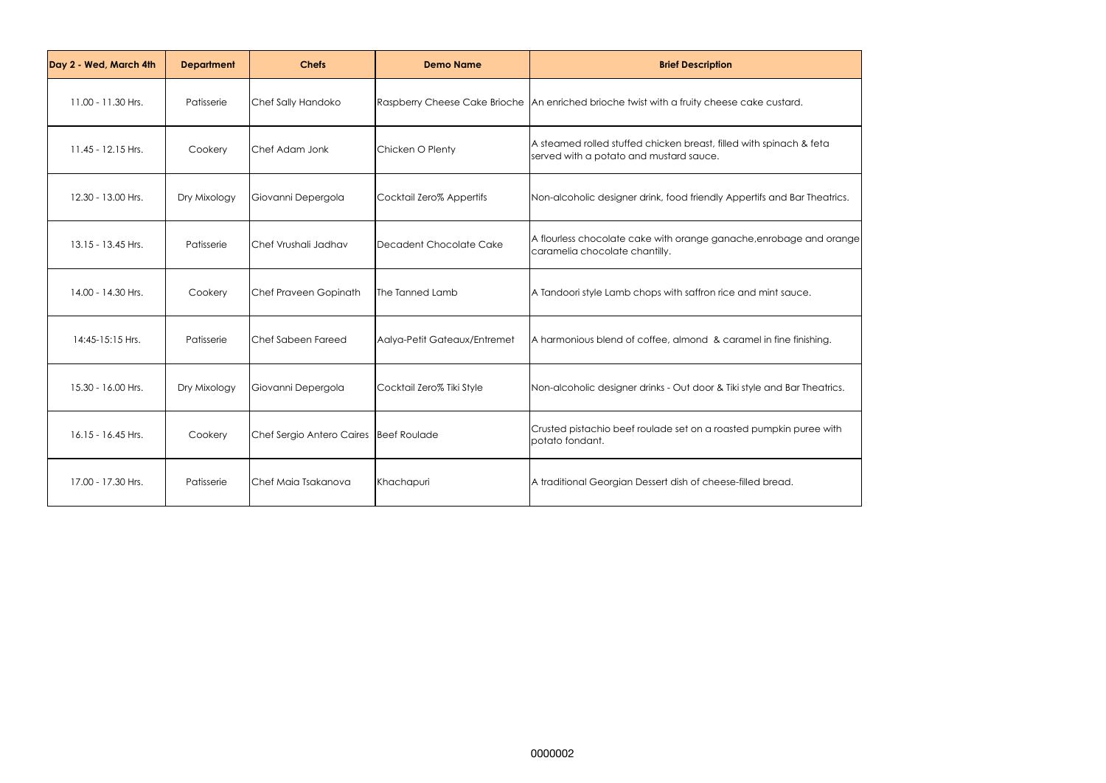

| Day 2 - Wed, March 4th | <b>Department</b> | <b>Chefs</b>                             | <b>Demo Name</b>             | <b>Brief Description</b>                                                                                       |
|------------------------|-------------------|------------------------------------------|------------------------------|----------------------------------------------------------------------------------------------------------------|
| 11.00 - 11.30 Hrs.     | Patisserie        | Chef Sally Handoko                       |                              | Raspberry Cheese Cake Brioche   An enriched brioche twist with a fruity cheese cake custard.                   |
| 11.45 - 12.15 Hrs.     | Cookery           | Chef Adam Jonk                           | Chicken O Plenty             | A steamed rolled stuffed chicken breast, filled with spinach & feta<br>served with a potato and mustard sauce. |
| 12.30 - 13.00 Hrs.     | Dry Mixology      | Giovanni Depergola                       | Cocktail Zero% Appertifs     | Non-alcoholic designer drink, food friendly Appertifs and Bar Theatrics.                                       |
| 13.15 - 13.45 Hrs.     | Patisserie        | Chef Vrushali Jadhav                     | Decadent Chocolate Cake      | A flourless chocolate cake with orange ganache, enrobage and orange<br>caramelia chocolate chantilly.          |
| 14.00 - 14.30 Hrs.     | Cookery           | Chef Praveen Gopinath                    | The Tanned Lamb              | A Tandoori style Lamb chops with saffron rice and mint sauce.                                                  |
| 14:45-15:15 Hrs.       | Patisserie        | Chef Sabeen Fareed                       | Aalya-Petit Gateaux/Entremet | A harmonious blend of coffee, almond & caramel in fine finishing.                                              |
| 15.30 - 16.00 Hrs.     | Dry Mixology      | Giovanni Depergola                       | Cocktail Zero% Tiki Style    | Non-alcoholic designer drinks - Out door & Tiki style and Bar Theatrics.                                       |
| 16.15 - 16.45 Hrs.     | Cookery           | Chef Sergio Antero Caires   Beef Roulade |                              | Crusted pistachio beef roulade set on a roasted pumpkin puree with<br>potato fondant.                          |
| 17.00 - 17.30 Hrs.     | Patisserie        | Chef Maia Tsakanova                      | Khachapuri                   | A traditional Georgian Dessert dish of cheese-filled bread.                                                    |